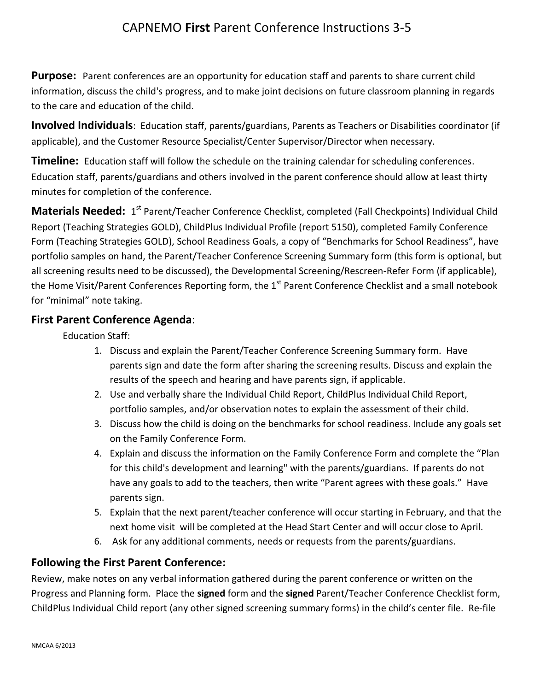## CAPNEMO **First** Parent Conference Instructions 3-5

**Purpose:** Parent conferences are an opportunity for education staff and parents to share current child information, discuss the child's progress, and to make joint decisions on future classroom planning in regards to the care and education of the child.

**Involved Individuals**: Education staff, parents/guardians, Parents as Teachers or Disabilities coordinator (if applicable), and the Customer Resource Specialist/Center Supervisor/Director when necessary.

**Timeline:** Education staff will follow the schedule on the training calendar for scheduling conferences. Education staff, parents/guardians and others involved in the parent conference should allow at least thirty minutes for completion of the conference.

**Materials Needed:** 1<sup>st</sup> Parent/Teacher Conference Checklist, completed (Fall Checkpoints) Individual Child Report (Teaching Strategies GOLD), ChildPlus Individual Profile (report 5150), completed Family Conference Form (Teaching Strategies GOLD), School Readiness Goals, a copy of "Benchmarks for School Readiness", have portfolio samples on hand, the Parent/Teacher Conference Screening Summary form (this form is optional, but all screening results need to be discussed), the Developmental Screening/Rescreen-Refer Form (if applicable), the Home Visit/Parent Conferences Reporting form, the 1<sup>st</sup> Parent Conference Checklist and a small notebook for "minimal" note taking.

## **First Parent Conference Agenda**:

Education Staff:

- 1. Discuss and explain the Parent/Teacher Conference Screening Summary form. Have parents sign and date the form after sharing the screening results. Discuss and explain the results of the speech and hearing and have parents sign, if applicable.
- 2. Use and verbally share the Individual Child Report, ChildPlus Individual Child Report, portfolio samples, and/or observation notes to explain the assessment of their child.
- 3. Discuss how the child is doing on the benchmarks for school readiness. Include any goals set on the Family Conference Form.
- 4. Explain and discuss the information on the Family Conference Form and complete the "Plan for this child's development and learning" with the parents/guardians. If parents do not have any goals to add to the teachers, then write "Parent agrees with these goals." Have parents sign.
- 5. Explain that the next parent/teacher conference will occur starting in February, and that the next home visit will be completed at the Head Start Center and will occur close to April.
- 6. Ask for any additional comments, needs or requests from the parents/guardians.

## **Following the First Parent Conference:**

Review, make notes on any verbal information gathered during the parent conference or written on the Progress and Planning form. Place the **signed** form and the **signed** Parent/Teacher Conference Checklist form, ChildPlus Individual Child report (any other signed screening summary forms) in the child's center file. Re-file